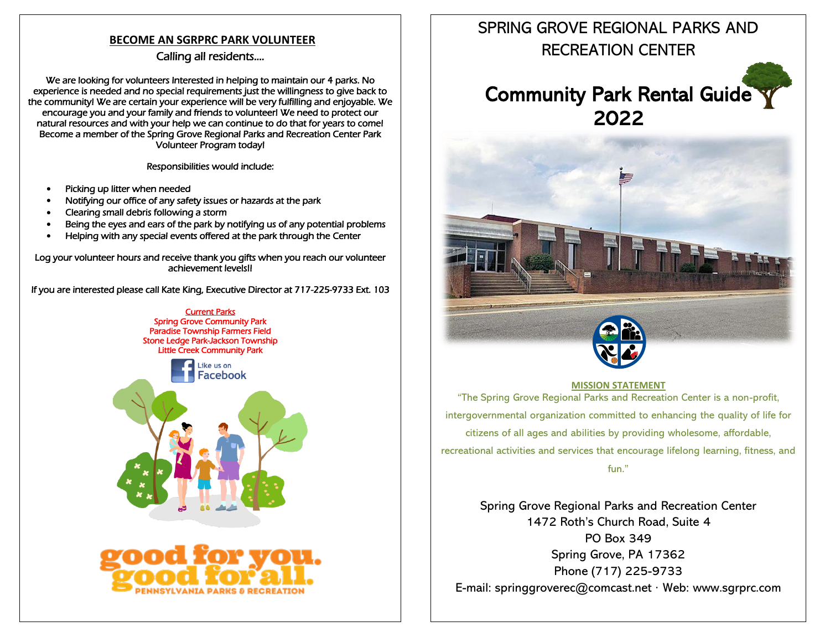## **BECOME AN SGRPRC PARK VOLUNTEER**

## Calling all residents….

We are looking for volunteers Interested in helping to maintain our 4 parks. No experience is needed and no special requirements just the willingness to give back to the community! We are certain your experience will be very fulfilling and enjoyable. We encourage you and your family and friends to volunteer! We need to protect our natural resources and with your help we can continue to do that for years to come! Become a member of the Spring Grove Regional Parks and Recreation Center Park Volunteer Program today!

Responsibilities would include:

- Picking up litter when needed
- Notifying our office of any safety issues or hazards at the park
- Clearing small debris following a storm
- Being the eyes and ears of the park by notifying us of any potential problems
- Helping with any special events offered at the park through the Center

Log your volunteer hours and receive thank you gifts when you reach our volunteer achievement levels!!

If you are interested please call Kate King, Executive Director at 717-225-9733 Ext. 103





## SPRING GROVE REGIONAL PARKS AND RECREATION CENTER

# Community Park Rental Guide 2022





### **MISSION STATEMENT**

"The Spring Grove Regional Parks and Recreation Center is a non-profit, intergovernmental organization committed to enhancing the quality of life for citizens of all ages and abilities by providing wholesome, affordable, recreational activities and services that encourage lifelong learning, fitness, and fun."

Spring Grove Regional Parks and Recreation Center 1472 Roth's Church Road, Suite 4 PO Box 349 Spring Grove, PA 17362 Phone (717) 225-9733 E-mail: [springgroverec@comcast.net](mailto:springgroverec@comcast.net) · Web: www.sgrprc.com